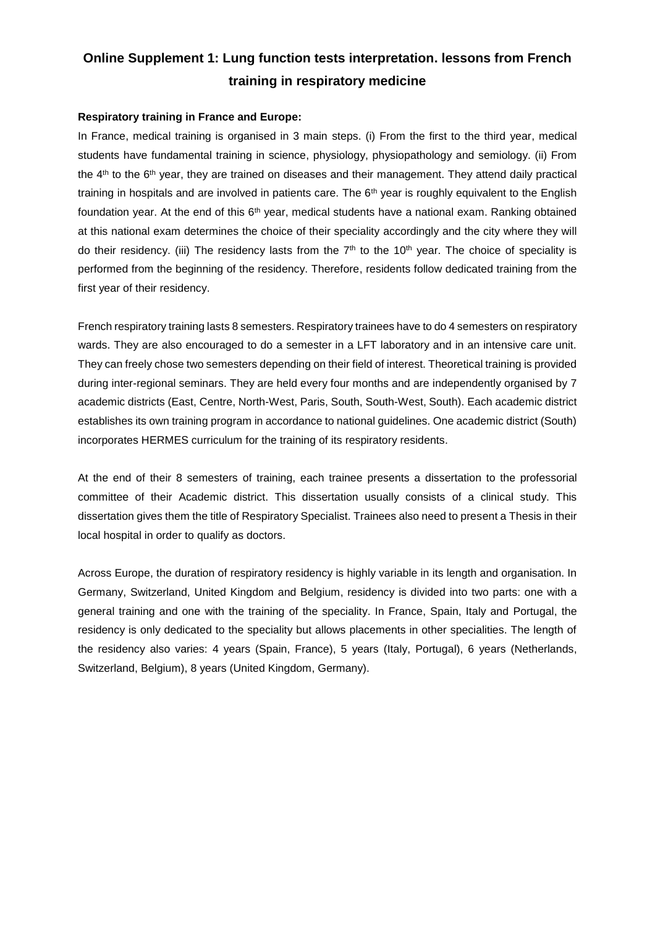## **Online Supplement 1: Lung function tests interpretation. lessons from French training in respiratory medicine**

## **Respiratory training in France and Europe:**

In France, medical training is organised in 3 main steps. (i) From the first to the third year, medical students have fundamental training in science, physiology, physiopathology and semiology. (ii) From the 4<sup>th</sup> to the 6<sup>th</sup> year, they are trained on diseases and their management. They attend daily practical training in hospitals and are involved in patients care. The 6<sup>th</sup> year is roughly equivalent to the English foundation year. At the end of this  $6<sup>th</sup>$  year, medical students have a national exam. Ranking obtained at this national exam determines the choice of their speciality accordingly and the city where they will do their residency. (iii) The residency lasts from the  $7<sup>th</sup>$  to the  $10<sup>th</sup>$  year. The choice of speciality is performed from the beginning of the residency. Therefore, residents follow dedicated training from the first year of their residency.

French respiratory training lasts 8 semesters. Respiratory trainees have to do 4 semesters on respiratory wards. They are also encouraged to do a semester in a LFT laboratory and in an intensive care unit. They can freely chose two semesters depending on their field of interest. Theoretical training is provided during inter-regional seminars. They are held every four months and are independently organised by 7 academic districts (East, Centre, North-West, Paris, South, South-West, South). Each academic district establishes its own training program in accordance to national guidelines. One academic district (South) incorporates HERMES curriculum for the training of its respiratory residents.

At the end of their 8 semesters of training, each trainee presents a dissertation to the professorial committee of their Academic district. This dissertation usually consists of a clinical study. This dissertation gives them the title of Respiratory Specialist. Trainees also need to present a Thesis in their local hospital in order to qualify as doctors.

Across Europe, the duration of respiratory residency is highly variable in its length and organisation. In Germany, Switzerland, United Kingdom and Belgium, residency is divided into two parts: one with a general training and one with the training of the speciality. In France, Spain, Italy and Portugal, the residency is only dedicated to the speciality but allows placements in other specialities. The length of the residency also varies: 4 years (Spain, France), 5 years (Italy, Portugal), 6 years (Netherlands, Switzerland, Belgium), 8 years (United Kingdom, Germany).